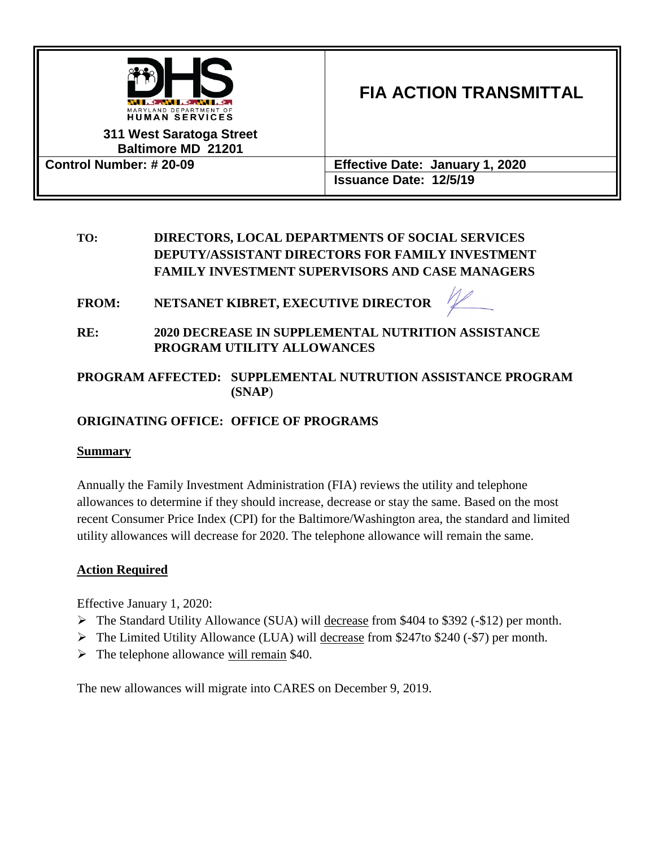

#### **311 West Saratoga Street Baltimore MD 21201**

# **FIA ACTION TRANSMITTAL**

**Control Number: # 20-09 Effective Date: January 1, 2020 Issuance Date: 12/5/19**

### **TO: DIRECTORS, LOCAL DEPARTMENTS OF SOCIAL SERVICES DEPUTY/ASSISTANT DIRECTORS FOR FAMILY INVESTMENT FAMILY INVESTMENT SUPERVISORS AND CASE MANAGERS**

**FROM: NETSANET KIBRET, EXECUTIVE DIRECTOR**



**RE: 2020 DECREASE IN SUPPLEMENTAL NUTRITION ASSISTANCE PROGRAM UTILITY ALLOWANCES**

### **PROGRAM AFFECTED: SUPPLEMENTAL NUTRUTION ASSISTANCE PROGRAM (SNAP**)

### **ORIGINATING OFFICE: OFFICE OF PROGRAMS**

#### **Summary**

Annually the Family Investment Administration (FIA) reviews the utility and telephone allowances to determine if they should increase, decrease or stay the same. Based on the most recent Consumer Price Index (CPI) for the Baltimore/Washington area, the standard and limited utility allowances will decrease for 2020. The telephone allowance will remain the same.

### **Action Required**

Effective January 1, 2020:

- ➢ The Standard Utility Allowance (SUA) will decrease from \$404 to \$392 (-\$12) per month.
- $\triangleright$  The Limited Utility Allowance (LUA) will decrease from \$247to \$240 (-\$7) per month.
- $\triangleright$  The telephone allowance will remain \$40.

The new allowances will migrate into CARES on December 9, 2019.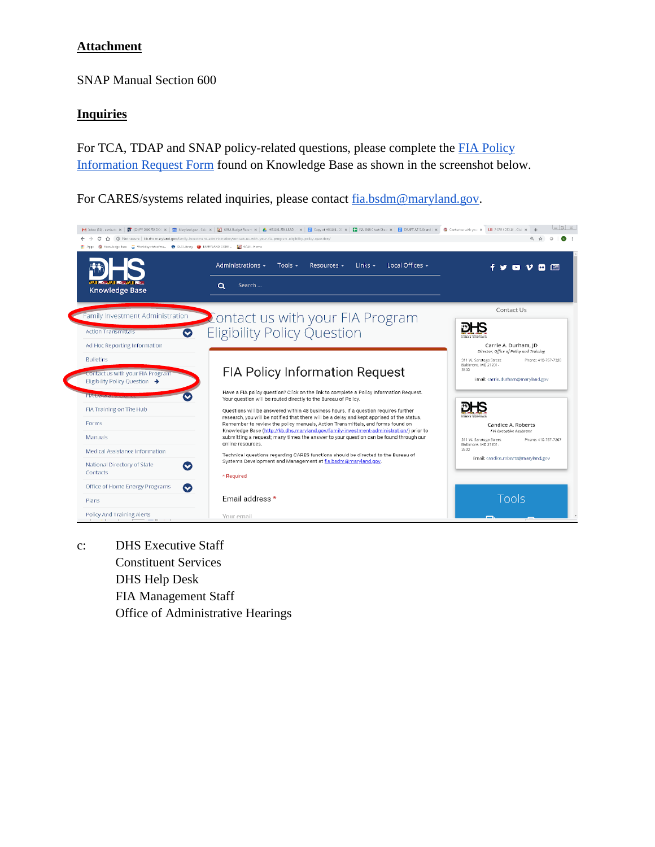#### **Attachment**

SNAP Manual Section 600

#### **Inquiries**

For TCA, TDAP and SNAP policy-related questions, please complete the [FIA Policy](http://kb.dhs.maryland.gov/family-investment-administration/contact-us-with-your-fia-program-eligibility-policy-question/)  [Information Request](http://kb.dhs.maryland.gov/family-investment-administration/contact-us-with-your-fia-program-eligibility-policy-question/) Form found on Knowledge Base as shown in the screenshot below.

For CARES/systems related inquiries, please contact [fia.bsdm@maryland.gov.](mailto:fia.bsdm@maryland.gov)



c: DHS Executive Staff Constituent Services DHS Help Desk FIA Management Staff Office of Administrative Hearings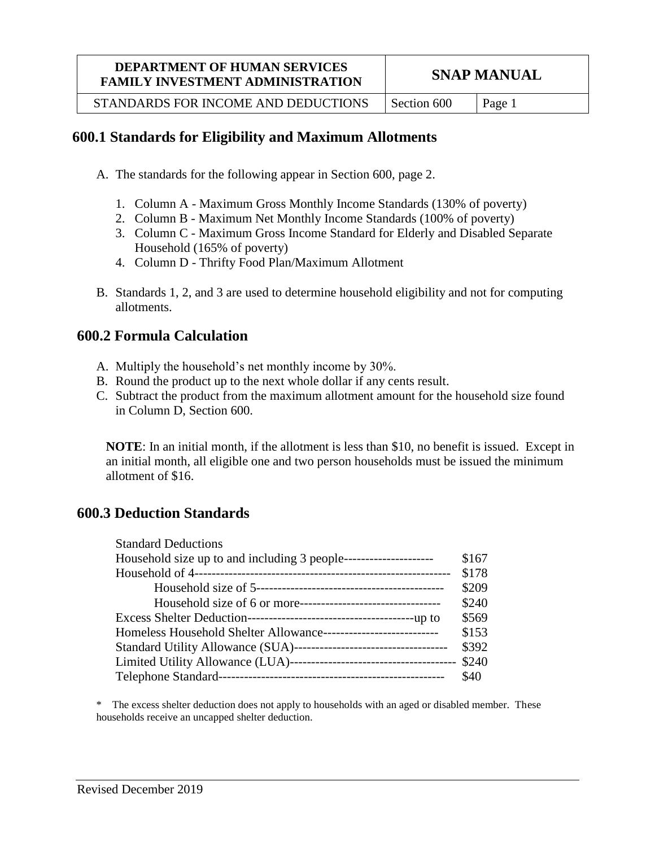# **DEPARTMENT OF HUMAN SERVICES FAMILY INVESTMENT ADMINISTRATION** SNAP MANUAL

STANDARDS FOR INCOME AND DEDUCTIONS  $\vert$  Section 600  $\vert$  Page 1

# **600.1 Standards for Eligibility and Maximum Allotments**

- A. The standards for the following appear in Section 600, page 2.
	- 1. Column A Maximum Gross Monthly Income Standards (130% of poverty)
	- 2. Column B Maximum Net Monthly Income Standards (100% of poverty)
	- 3. Column C Maximum Gross Income Standard for Elderly and Disabled Separate Household (165% of poverty)
	- 4. Column D Thrifty Food Plan/Maximum Allotment
- B. Standards 1, 2, and 3 are used to determine household eligibility and not for computing allotments.

# **600.2 Formula Calculation**

- A. Multiply the household's net monthly income by 30%.
- B. Round the product up to the next whole dollar if any cents result.
- C. Subtract the product from the maximum allotment amount for the household size found in Column D, Section 600.

**NOTE**: In an initial month, if the allotment is less than \$10, no benefit is issued. Except in an initial month, all eligible one and two person households must be issued the minimum allotment of \$16.

# **600.3 Deduction Standards**

| <b>Standard Deductions</b>                                        |       |
|-------------------------------------------------------------------|-------|
|                                                                   | \$167 |
|                                                                   | \$178 |
|                                                                   | \$209 |
|                                                                   | \$240 |
|                                                                   | \$569 |
| Homeless Household Shelter Allowance----------------------------- | \$153 |
|                                                                   | \$392 |
|                                                                   |       |
|                                                                   | \$40  |

\* The excess shelter deduction does not apply to households with an aged or disabled member. These households receive an uncapped shelter deduction.